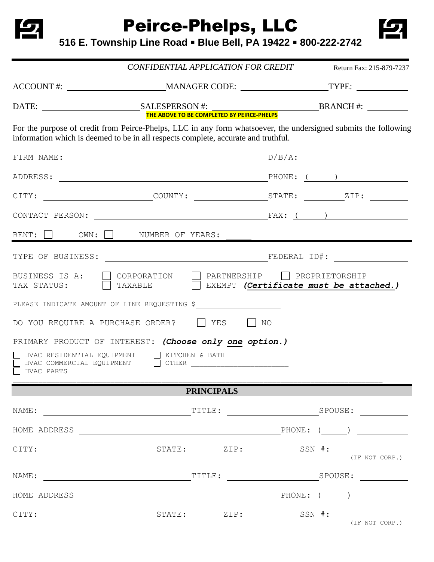

Peirce-Phelps, LLC



**516 E. Township Line Road Blue Bell, PA 19422 800-222-2742**

|                                                                                                                                                                                                       | CONFIDENTIAL APPLICATION FOR CREDIT |                                          |  | Return Fax: 215-879-7237               |  |
|-------------------------------------------------------------------------------------------------------------------------------------------------------------------------------------------------------|-------------------------------------|------------------------------------------|--|----------------------------------------|--|
| ACCOUNT #: ____________________________MANAGER CODE: ________________________TYPE: ________________                                                                                                   |                                     |                                          |  |                                        |  |
|                                                                                                                                                                                                       |                                     |                                          |  |                                        |  |
| For the purpose of credit from Peirce-Phelps, LLC in any form whatsoever, the undersigned submits the following<br>information which is deemed to be in all respects complete, accurate and truthful. |                                     |                                          |  |                                        |  |
| FIRM NAME:                                                                                                                                                                                            |                                     |                                          |  |                                        |  |
|                                                                                                                                                                                                       |                                     |                                          |  |                                        |  |
|                                                                                                                                                                                                       |                                     |                                          |  |                                        |  |
|                                                                                                                                                                                                       |                                     |                                          |  |                                        |  |
| RENT: $\Box$ OWN: $\Box$ NUMBER OF YEARS:                                                                                                                                                             |                                     |                                          |  |                                        |  |
|                                                                                                                                                                                                       |                                     |                                          |  |                                        |  |
| BUSINESS IS A:<br>TAX STATUS: TAXABLE                                                                                                                                                                 | CORPORATION                         | $\Box$ PARTNERSHIP $\Box$ PROPRIETORSHIP |  | EXEMPT (Certificate must be attached.) |  |
| PLEASE INDICATE AMOUNT OF LINE REQUESTING \$                                                                                                                                                          |                                     |                                          |  |                                        |  |
| DO YOU REQUIRE A PURCHASE ORDER? $\Box$ YES $\Box$ NO                                                                                                                                                 |                                     |                                          |  |                                        |  |
| PRIMARY PRODUCT OF INTEREST: (Choose only one option.)                                                                                                                                                |                                     |                                          |  |                                        |  |
| HVAC RESIDENTIAL EQUIPMENT     KITCHEN & BATH<br>HVAC PARTS                                                                                                                                           |                                     |                                          |  |                                        |  |
|                                                                                                                                                                                                       |                                     | <b>PRINCIPALS</b>                        |  |                                        |  |
|                                                                                                                                                                                                       |                                     |                                          |  |                                        |  |
| HOME ADDRESS $\_\_\_\_\_\_\_\_\$ PHONE: ( $\_\_\_\_\_\_\_\_\_\_\_\_\_\_\_\_\_\_\_$                                                                                                                    |                                     |                                          |  |                                        |  |
|                                                                                                                                                                                                       |                                     |                                          |  |                                        |  |
|                                                                                                                                                                                                       |                                     |                                          |  |                                        |  |
| HOME ADDRESS $\begin{array}{cccccccccc} \text{HONE:} & & \text{O.} & \text{O.} & \text{O.} \end{array}$                                                                                               |                                     |                                          |  |                                        |  |
|                                                                                                                                                                                                       |                                     |                                          |  |                                        |  |
|                                                                                                                                                                                                       |                                     |                                          |  |                                        |  |